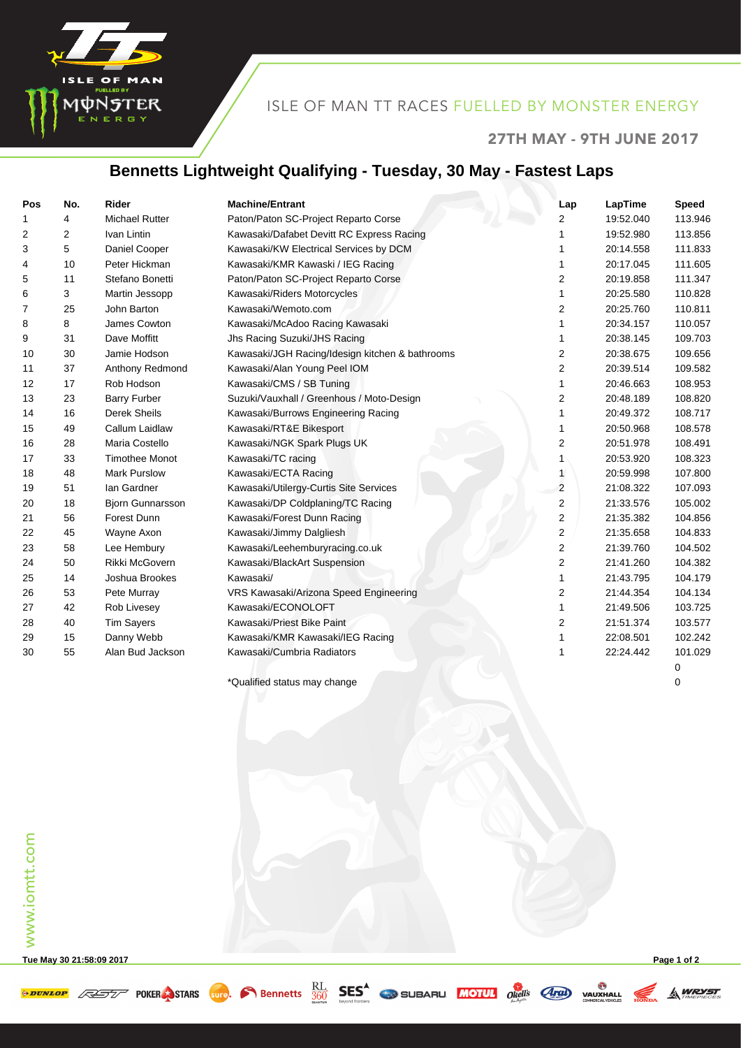

## ISLE OF MAN TT RACES FUELLED BY MONSTER ENERGY

#### 27TH MAY - 9TH JUNE 2017

# **Bennetts Lightweight Qualifying - Tuesday, 30 May - Fastest Laps**

| Pos | No.            | Rider                   | <b>Machine/Entrant</b>                          | Lap            | LapTime   | <b>Speed</b> |
|-----|----------------|-------------------------|-------------------------------------------------|----------------|-----------|--------------|
| 1   | 4              | <b>Michael Rutter</b>   | Paton/Paton SC-Project Reparto Corse            | 2              | 19:52.040 | 113.946      |
| 2   | $\overline{2}$ | Ivan Lintin             | Kawasaki/Dafabet Devitt RC Express Racing       | 1              | 19:52.980 | 113.856      |
| 3   | 5              | Daniel Cooper           | Kawasaki/KW Electrical Services by DCM          | 1              | 20:14.558 | 111.833      |
| 4   | 10             | Peter Hickman           | Kawasaki/KMR Kawaski / IEG Racing               | 1              | 20:17.045 | 111.605      |
| 5   | 11             | Stefano Bonetti         | Paton/Paton SC-Project Reparto Corse            | 2              | 20:19.858 | 111.347      |
| 6   | 3              | Martin Jessopp          | Kawasaki/Riders Motorcycles                     | 1              | 20:25.580 | 110.828      |
| 7   | 25             | John Barton             | Kawasaki/Wemoto.com                             | 2              | 20:25.760 | 110.811      |
| 8   | 8              | James Cowton            | Kawasaki/McAdoo Racing Kawasaki                 | 1              | 20:34.157 | 110.057      |
| 9   | 31             | Dave Moffitt            | Jhs Racing Suzuki/JHS Racing                    | 1              | 20:38.145 | 109.703      |
| 10  | 30             | Jamie Hodson            | Kawasaki/JGH Racing/Idesign kitchen & bathrooms | 2              | 20:38.675 | 109.656      |
| 11  | 37             | Anthony Redmond         | Kawasaki/Alan Young Peel IOM                    | 2              | 20:39.514 | 109.582      |
| 12  | 17             | Rob Hodson              | Kawasaki/CMS / SB Tuning                        | 1              | 20:46.663 | 108.953      |
| 13  | 23             | <b>Barry Furber</b>     | Suzuki/Vauxhall / Greenhous / Moto-Design       | 2              | 20:48.189 | 108.820      |
| 14  | 16             | <b>Derek Sheils</b>     | Kawasaki/Burrows Engineering Racing             | 1              | 20:49.372 | 108.717      |
| 15  | 49             | Callum Laidlaw          | Kawasaki/RT&E Bikesport                         | 1              | 20:50.968 | 108.578      |
| 16  | 28             | Maria Costello          | Kawasaki/NGK Spark Plugs UK                     | 2              | 20:51.978 | 108.491      |
| 17  | 33             | <b>Timothee Monot</b>   | Kawasaki/TC racing                              |                | 20:53.920 | 108.323      |
| 18  | 48             | <b>Mark Purslow</b>     | Kawasaki/ECTA Racing                            | $\mathbf{1}$   | 20:59.998 | 107.800      |
| 19  | 51             | lan Gardner             | Kawasaki/Utilergy-Curtis Site Services          | $\overline{2}$ | 21:08.322 | 107.093      |
| 20  | 18             | <b>Bjorn Gunnarsson</b> | Kawasaki/DP Coldplaning/TC Racing               | 2              | 21:33.576 | 105.002      |
| 21  | 56             | Forest Dunn             | Kawasaki/Forest Dunn Racing                     | 2              | 21:35.382 | 104.856      |
| 22  | 45             | Wayne Axon              | Kawasaki/Jimmy Dalgliesh                        | 2              | 21:35.658 | 104.833      |
| 23  | 58             | Lee Hembury             | Kawasaki/Leehemburyracing.co.uk                 | $\overline{2}$ | 21:39.760 | 104.502      |
| 24  | 50             | Rikki McGovern          | Kawasaki/BlackArt Suspension                    | 2              | 21:41.260 | 104.382      |
| 25  | 14             | Joshua Brookes          | Kawasaki/                                       | 1              | 21:43.795 | 104.179      |
| 26  | 53             | Pete Murray             | VRS Kawasaki/Arizona Speed Engineering          | 2              | 21:44.354 | 104.134      |
| 27  | 42             | Rob Livesey             | Kawasaki/ECONOLOFT                              | 1              | 21:49.506 | 103.725      |
| 28  | 40             | <b>Tim Sayers</b>       | Kawasaki/Priest Bike Paint                      | 2              | 21:51.374 | 103.577      |
| 29  | 15             | Danny Webb              | Kawasaki/KMR Kawasaki/IEG Racing                | 1              | 22:08.501 | 102.242      |
| 30  | 55             | Alan Bud Jackson        | Kawasaki/Cumbria Radiators                      |                | 22:24.442 | 101.029      |
|     |                |                         |                                                 |                |           | 0            |

\*Qualified status may change 0

www.iomtt.com www.iomtt.com